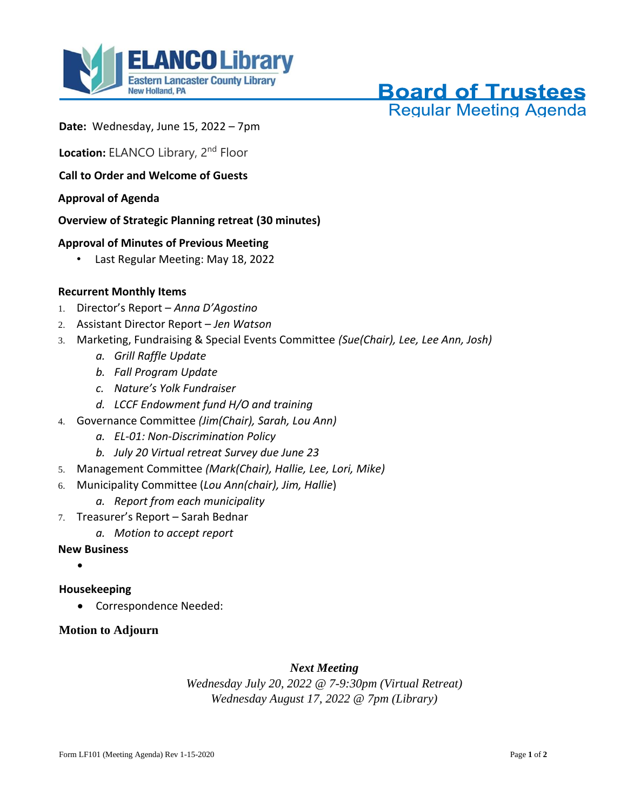

# **Board of Trustees**

**Regular Meeting Agenda** 

**Date:** Wednesday, June 15, 2022 – 7pm

Location: ELANCO Library, 2<sup>nd</sup> Floor

**Call to Order and Welcome of Guests**

**Approval of Agenda**

**Overview of Strategic Planning retreat (30 minutes)**

### **Approval of Minutes of Previous Meeting**

• Last Regular Meeting: May 18, 2022

### **Recurrent Monthly Items**

- 1. Director's Report *Anna D'Agostino*
- 2. Assistant Director Report *Jen Watson*
- 3. Marketing, Fundraising & Special Events Committee *(Sue(Chair), Lee, Lee Ann, Josh)*
	- *a. Grill Raffle Update*
	- *b. Fall Program Update*
	- *c. Nature's Yolk Fundraiser*
	- *d. LCCF Endowment fund H/O and training*
- 4. Governance Committee *(Jim(Chair), Sarah, Lou Ann)*
	- *a. EL-01: Non-Discrimination Policy*
	- *b. July 20 Virtual retreat Survey due June 23*
- 5. Management Committee *(Mark(Chair), Hallie, Lee, Lori, Mike)*
- 6. Municipality Committee (*Lou Ann(chair), Jim, Hallie*)
	- *a. Report from each municipality*
- 7. Treasurer's Report Sarah Bednar
	- *a. Motion to accept report*

### **New Business**

•

### **Housekeeping**

• Correspondence Needed:

## **Motion to Adjourn**

### *Next Meeting*

*Wednesday July 20, 2022 @ 7-9:30pm (Virtual Retreat) Wednesday August 17, 2022 @ 7pm (Library)*